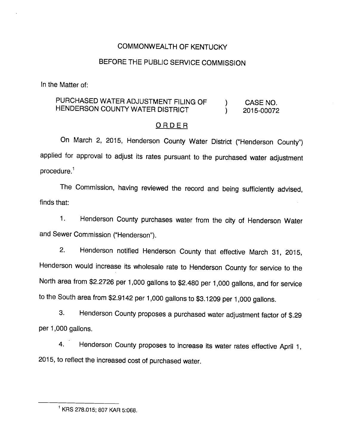### COMMONWEALTH OF KENTUCKY

### BEFORE THE PUBLIC SERVICE COMMISSION

In the Matter of:

# PURCHASED WATER ADJUSTMENT FILING OF  $\qquad$  ) CASE NO. HENDERSON COUNTY WATER DISTRICT  $\qquad \qquad$  2015-00072

#### ORDER

On March 2, 2015, Henderson County Water District ("Henderson County") applied for approval to adjust its rates pursuant to the purchased water adjustment procedure. $<sup>1</sup>$ </sup>

The Commission, having reviewed the record and being sufficiently advised, finds that:

1. Henderson County purchases water from the city of Henderson Water and Sewer Commission ("Henderson").

2. Henderson notified Henderson County that effective March 31, 2015, Henderson would increase its wholesale rate to Henderson County for service to the North area from \$2.2726 per 1,000 gallons to \$2,480 per 1,000 gallons, and for service to the South area from \$2.9142 per 1,000 gallons to \$3.1209 per 1,000 gallons.

3. Henderson County proposes a purchased water adjustment factor of \$.29 per 1,000 gallons.

4. Henderson County proposes to increase its water rates effective April 1, 2015, to reflect the increased cost of purchased water.

<sup>&#</sup>x27; KRS 278.015; 807 KAR 5:068.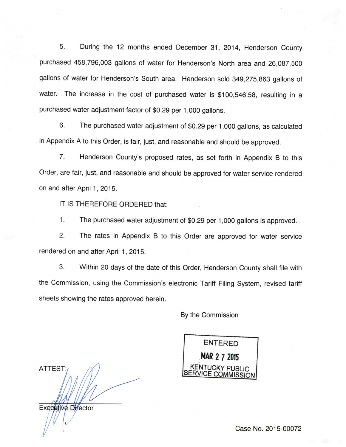5. During the 12 months ended December 31, 2014, Henderson County purchased 458,796,003 gallons of water for Henderson's North area and 26,087,500 gallons of water for Henderson's South area. Henderson sold 349,275,863 gallons of water. The increase in the cost of purchased water is \$100,546.58, resulting in a purchased water adjustment factor of \$0.29 per 1,000 gallons.

6. The purchased water adjustment of \$0.29 per 1,000 gallons, as calculated in Appendix A to this Order, is fair, just, and reasonable and should be approved.

7. Henderson County's proposed rates, as set forth in Appendix B to this Order, are fair, just, and reasonable and should be approved for water service rendered on and after April 1, 2015.

IT IS THEREFORE ORDERED that:

1. The purchased water adjustment of \$0.29 per 1,000 gallons is approved.

2. The rates in Appendix B to this Order are approved for water service rendered on and after April 1, 2015.

3. Within 20 days of the date of this Order, Henderson County shall file with the Commission, using the Commission's electronic Tariff Filing System, revised tariff sheets showing the rates approved herein.

By the Commission

ATTEST:

**Executive Director** 

entered mar 2 7 <sup>2015</sup> **KENTUCKY PUBLIC** 

Case No. 2015-00072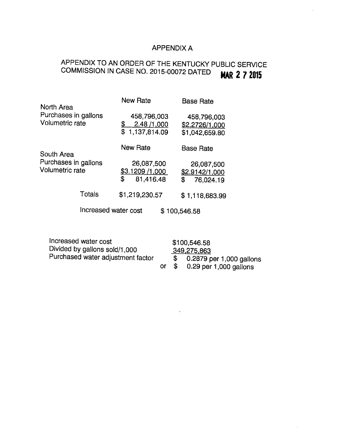## APPENDIX A

# APPENDIX TO AN ORDER OF THE KENTUCKY PUBLIC SERVICE COMMISSION IN CASE NO. 2015-00072 DATED **MAR 2 7 2015**

| North Area                                            |        | <b>New Rate</b>                                          | <b>Base Rate</b>                                |
|-------------------------------------------------------|--------|----------------------------------------------------------|-------------------------------------------------|
| Purchases in gallons<br>Volumetric rate               |        | 458,796,003<br><u>\$</u><br>2.48/1,000<br>\$1,137,814.09 | 458,796,003<br>\$2.2726/1,000<br>\$1,042,659.80 |
| South Area<br>Purchases in gallons<br>Volumetric rate |        | <b>New Rate</b>                                          | <b>Base Rate</b>                                |
|                                                       |        | 26,087,500<br>\$3.1209 /1,000<br>\$<br>81.416.48         | 26,087,500<br>\$2.9142/1,000<br>\$<br>76,024.19 |
|                                                       | Totals | \$1,219,230.57                                           | \$1,118,683.99                                  |
| Increased water cost                                  |        |                                                          | \$100,546.58                                    |
|                                                       |        |                                                          |                                                 |

Increased water cost \$100,546.58 Divided by gallons sold/1,000 349.275.863 Purchased water adjustment factor  $\frac{2.0121 \times 1000}{9}$  per 1,000 gallons  $\frac{1}{2}$  0.2879 per 1,000 gallons<br>or  $\frac{1}{2}$  0.29 per 1,000 gallons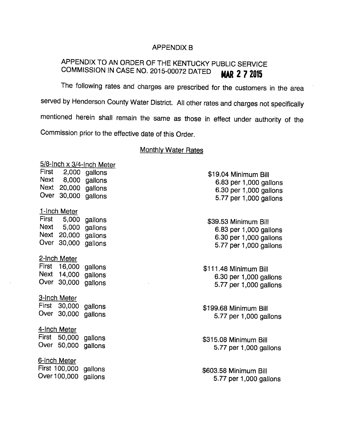#### APPENDIX B

# APPENDIX TO AN ORDER OF THE KENTUCKY PUBLIC SERVICE COMMISSION IN CASE NO. 2015-00072 DATED **MAR 2 7 2015**

The following rates and charges are prescribed for the customers in the area served by Henderson County Water District. All other rates and charges not specifically mentioned herein shall remain the same as those in effect under authority of the Commission prior to the effective date of this Order.

#### **Monthly Water Rates**

|             |                       | 5/8-Inch x 3/4-Inch Meter |                        |
|-------------|-----------------------|---------------------------|------------------------|
|             | First 2,000 gallons   |                           | \$19.04 Minimum Bill   |
|             | Next 8,000 gallons    |                           | 6.83 per 1,000 gallons |
|             | Next 20,000 gallons   |                           | 6.30 per 1,000 gallons |
| Over        | 30,000 gallons        |                           | 5.77 per 1,000 gallons |
|             | 1-Inch Meter          |                           |                        |
|             | First 5,000 gallons   |                           | \$39.53 Minimum Bill   |
|             | Next 5,000            | gallons                   | 6.83 per 1,000 gallons |
|             | Next 20,000 gallons   |                           | 6.30 per 1,000 gallons |
|             | Over 30,000 gallons   |                           | 5.77 per 1,000 gallons |
|             |                       |                           |                        |
|             | 2-Inch Meter          |                           |                        |
|             | First 16,000          | gallons                   | \$111.48 Minimum Bill  |
| <b>Next</b> | 14,000                | gallons                   | 6.30 per 1,000 gallons |
|             | Over 30,000           | gallons                   | 5.77 per 1,000 gallons |
|             |                       |                           |                        |
|             | 3-Inch Meter          |                           |                        |
|             | First 30,000          | gallons                   | \$199.68 Minimum Bill  |
|             | Over 30,000           | gallons                   | 5.77 per 1,000 gallons |
|             |                       |                           |                        |
|             | 4-Inch Meter          |                           |                        |
|             | First 50,000          | gallons                   | \$315.08 Minimum Bill  |
|             | Over 50,000           | gallons                   | 5.77 per 1,000 gallons |
|             |                       |                           |                        |
|             | 6-Inch Meter          |                           |                        |
|             | First 100,000 gallons |                           | \$603.58 Minimum Bill  |
|             | Over 100,000          | gallons                   | 5.77 per 1,000 gallons |
|             |                       |                           |                        |